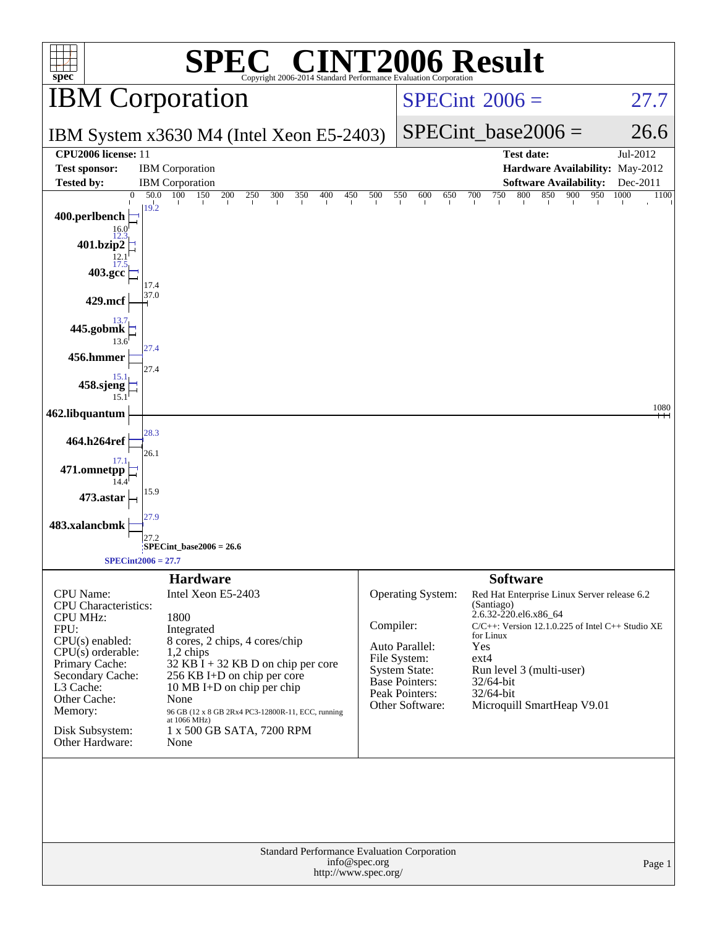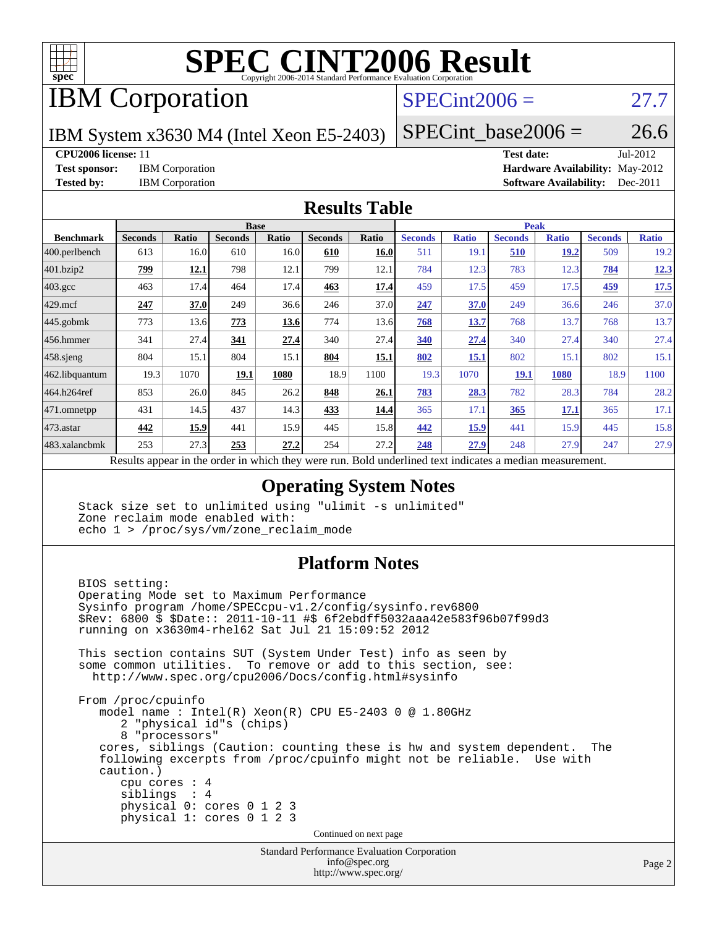

# **[SPEC CINT2006 Result](http://www.spec.org/auto/cpu2006/Docs/result-fields.html#SPECCINT2006Result)**

# IBM Corporation

## $SPECint2006 = 27.7$  $SPECint2006 = 27.7$

IBM System x3630 M4 (Intel Xeon E5-2403)

 $SPECTnt\_base2006 = 26.6$ 

### **[CPU2006 license:](http://www.spec.org/auto/cpu2006/Docs/result-fields.html#CPU2006license)** 11 **[Test date:](http://www.spec.org/auto/cpu2006/Docs/result-fields.html#Testdate)** Jul-2012

**[Test sponsor:](http://www.spec.org/auto/cpu2006/Docs/result-fields.html#Testsponsor)** IBM Corporation **[Hardware Availability:](http://www.spec.org/auto/cpu2006/Docs/result-fields.html#HardwareAvailability)** May-2012 **[Tested by:](http://www.spec.org/auto/cpu2006/Docs/result-fields.html#Testedby)** IBM Corporation **[Software Availability:](http://www.spec.org/auto/cpu2006/Docs/result-fields.html#SoftwareAvailability)** Dec-2011

### **[Results Table](http://www.spec.org/auto/cpu2006/Docs/result-fields.html#ResultsTable)**

|                         | <b>Base</b>                                                                                              |       |                |       |                |       | <b>Peak</b>    |              |                |              |                |              |
|-------------------------|----------------------------------------------------------------------------------------------------------|-------|----------------|-------|----------------|-------|----------------|--------------|----------------|--------------|----------------|--------------|
| <b>Benchmark</b>        | <b>Seconds</b>                                                                                           | Ratio | <b>Seconds</b> | Ratio | <b>Seconds</b> | Ratio | <b>Seconds</b> | <b>Ratio</b> | <b>Seconds</b> | <b>Ratio</b> | <b>Seconds</b> | <b>Ratio</b> |
| $ 400.\text{perlbench}$ | 613                                                                                                      | 16.0  | 610            | 16.0  | 610            | 16.0  | 511            | 19.1         | 510            | 19.2         | 509            | 19.2         |
| 401.bzip2               | 799                                                                                                      | 12.1  | 798            | 12.1  | 799            | 12.1  | 784            | 12.3         | 783            | 12.3         | 784            | 12.3         |
| $403.\text{gcc}$        | 463                                                                                                      | 17.4  | 464            | 17.4  | 463            | 17.4  | 459            | 17.5         | 459            | 17.5         | 459            | 17.5         |
| $429$ .mcf              | 247                                                                                                      | 37.0  | 249            | 36.6  | 246            | 37.0  | 247            | 37.0         | 249            | 36.6         | 246            | 37.0         |
| $445$ .gobmk            | 773                                                                                                      | 13.6  | 773            | 13.6  | 774            | 13.6  | 768            | 13.7         | 768            | 13.7         | 768            | 13.7         |
| $456.$ hmmer            | 341                                                                                                      | 27.4  | 341            | 27.4  | 340            | 27.4  | 340            | 27.4         | 340            | 27.4         | 340            | 27.4         |
| $458$ .sjeng            | 804                                                                                                      | 15.1  | 804            | 15.1  | 804            | 15.1  | 802            | 15.1         | 802            | 15.1         | 802            | 15.1         |
| 462.libquantum          | 19.3                                                                                                     | 1070  | 19.1           | 1080  | 18.9           | 1100  | 19.3           | 1070         | 19.1           | 1080         | 18.9           | 1100         |
| 464.h264ref             | 853                                                                                                      | 26.0  | 845            | 26.2  | 848            | 26.1  | 783            | 28.3         | 782            | 28.3         | 784            | 28.2         |
| 471.omnetpp             | 431                                                                                                      | 14.5  | 437            | 14.3  | 433            | 14.4  | 365            | 17.1         | 365            | 17.1         | 365            | 17.1         |
| $473$ . astar           | 442                                                                                                      | 15.9  | 441            | 15.9  | 445            | 15.8  | 442            | 15.9         | 441            | 15.9         | 445            | 15.8         |
| 483.xalancbmk           | 253                                                                                                      | 27.3  | 253            | 27.2  | 254            | 27.2  | 248            | 27.9         | 248            | 27.9         | 247            | 27.9         |
|                         | Results appear in the order in which they were run. Bold underlined text indicates a median measurement. |       |                |       |                |       |                |              |                |              |                |              |

### **[Operating System Notes](http://www.spec.org/auto/cpu2006/Docs/result-fields.html#OperatingSystemNotes)**

 Stack size set to unlimited using "ulimit -s unlimited" Zone reclaim mode enabled with: echo 1 > /proc/sys/vm/zone\_reclaim\_mode

## **[Platform Notes](http://www.spec.org/auto/cpu2006/Docs/result-fields.html#PlatformNotes)**

Standard Performance Evaluation Corporation BIOS setting: Operating Mode set to Maximum Performance Sysinfo program /home/SPECcpu-v1.2/config/sysinfo.rev6800 \$Rev: 6800 \$ \$Date:: 2011-10-11 #\$ 6f2ebdff5032aaa42e583f96b07f99d3 running on x3630m4-rhel62 Sat Jul 21 15:09:52 2012 This section contains SUT (System Under Test) info as seen by some common utilities. To remove or add to this section, see: <http://www.spec.org/cpu2006/Docs/config.html#sysinfo> From /proc/cpuinfo model name : Intel(R) Xeon(R) CPU E5-2403 0 @ 1.80GHz 2 "physical id"s (chips) 8 "processors" cores, siblings (Caution: counting these is hw and system dependent. The following excerpts from /proc/cpuinfo might not be reliable. Use with caution.) cpu cores : 4 siblings : 4 physical 0: cores 0 1 2 3 physical 1: cores 0 1 2 3 Continued on next page

[info@spec.org](mailto:info@spec.org) <http://www.spec.org/>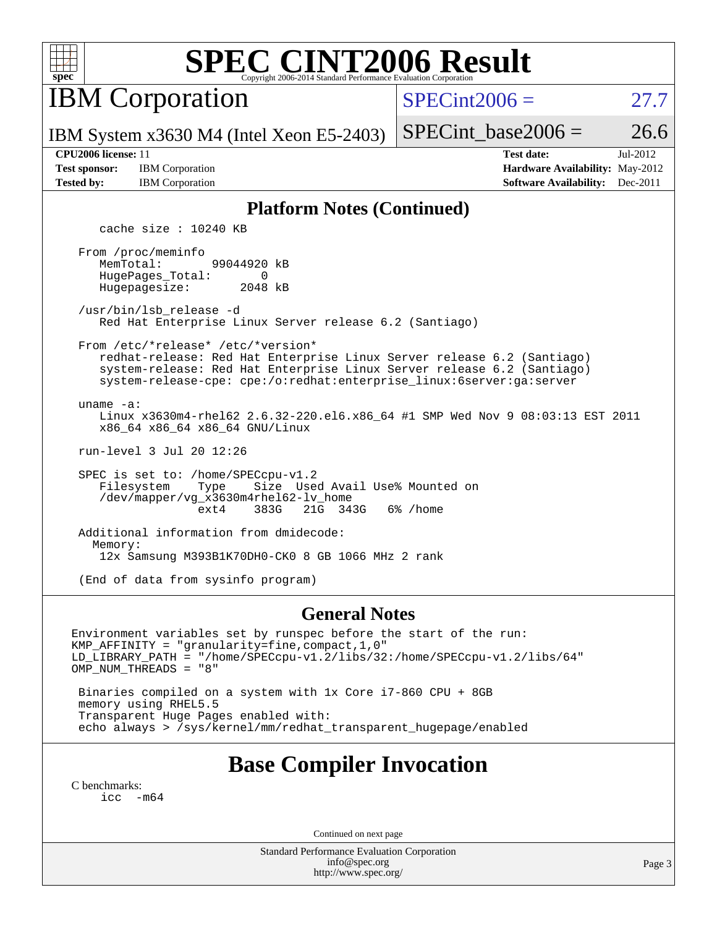

# **[SPEC CINT2006 Result](http://www.spec.org/auto/cpu2006/Docs/result-fields.html#SPECCINT2006Result)**

IBM Corporation

 $SPECint2006 = 27.7$  $SPECint2006 = 27.7$ 

IBM System x3630 M4 (Intel Xeon E5-2403)

SPECint base2006 =  $26.6$ 

**[Test sponsor:](http://www.spec.org/auto/cpu2006/Docs/result-fields.html#Testsponsor)** IBM Corporation **[Hardware Availability:](http://www.spec.org/auto/cpu2006/Docs/result-fields.html#HardwareAvailability)** May-2012

**[CPU2006 license:](http://www.spec.org/auto/cpu2006/Docs/result-fields.html#CPU2006license)** 11 **[Test date:](http://www.spec.org/auto/cpu2006/Docs/result-fields.html#Testdate)** Jul-2012 **[Tested by:](http://www.spec.org/auto/cpu2006/Docs/result-fields.html#Testedby)** IBM Corporation **[Software Availability:](http://www.spec.org/auto/cpu2006/Docs/result-fields.html#SoftwareAvailability)** Dec-2011

### **[Platform Notes \(Continued\)](http://www.spec.org/auto/cpu2006/Docs/result-fields.html#PlatformNotes)**

cache size : 10240 KB

 From /proc/meminfo MemTotal: 99044920 kB HugePages\_Total: 0<br>Hugepagesize: 2048 kB Hugepagesize:

 /usr/bin/lsb\_release -d Red Hat Enterprise Linux Server release 6.2 (Santiago)

From /etc/\*release\* /etc/\*version\*

 redhat-release: Red Hat Enterprise Linux Server release 6.2 (Santiago) system-release: Red Hat Enterprise Linux Server release 6.2 (Santiago) system-release-cpe: cpe:/o:redhat:enterprise\_linux:6server:ga:server

uname -a:

 Linux x3630m4-rhel62 2.6.32-220.el6.x86\_64 #1 SMP Wed Nov 9 08:03:13 EST 2011 x86\_64 x86\_64 x86\_64 GNU/Linux

run-level 3 Jul 20 12:26

SPEC is set to: /home/SPECcpu-v1.2<br>Filesystem Type Size Use Type Size Used Avail Use% Mounted on /dev/mapper/vg\_x3630m4rhel62-lv\_home ext4 383G 21G 343G 6% /home

 Additional information from dmidecode: Memory: 12x Samsung M393B1K70DH0-CK0 8 GB 1066 MHz 2 rank

(End of data from sysinfo program)

### **[General Notes](http://www.spec.org/auto/cpu2006/Docs/result-fields.html#GeneralNotes)**

Environment variables set by runspec before the start of the run: KMP\_AFFINITY = "granularity=fine,compact,1,0" LD\_LIBRARY\_PATH = "/home/SPECcpu-v1.2/libs/32:/home/SPECcpu-v1.2/libs/64" OMP\_NUM\_THREADS = "8" Binaries compiled on a system with 1x Core i7-860 CPU + 8GB

 memory using RHEL5.5 Transparent Huge Pages enabled with: echo always > /sys/kernel/mm/redhat\_transparent\_hugepage/enabled

# **[Base Compiler Invocation](http://www.spec.org/auto/cpu2006/Docs/result-fields.html#BaseCompilerInvocation)**

[C benchmarks](http://www.spec.org/auto/cpu2006/Docs/result-fields.html#Cbenchmarks): [icc -m64](http://www.spec.org/cpu2006/results/res2012q3/cpu2006-20120725-23851.flags.html#user_CCbase_intel_icc_64bit_f346026e86af2a669e726fe758c88044)

Continued on next page

Standard Performance Evaluation Corporation [info@spec.org](mailto:info@spec.org) <http://www.spec.org/>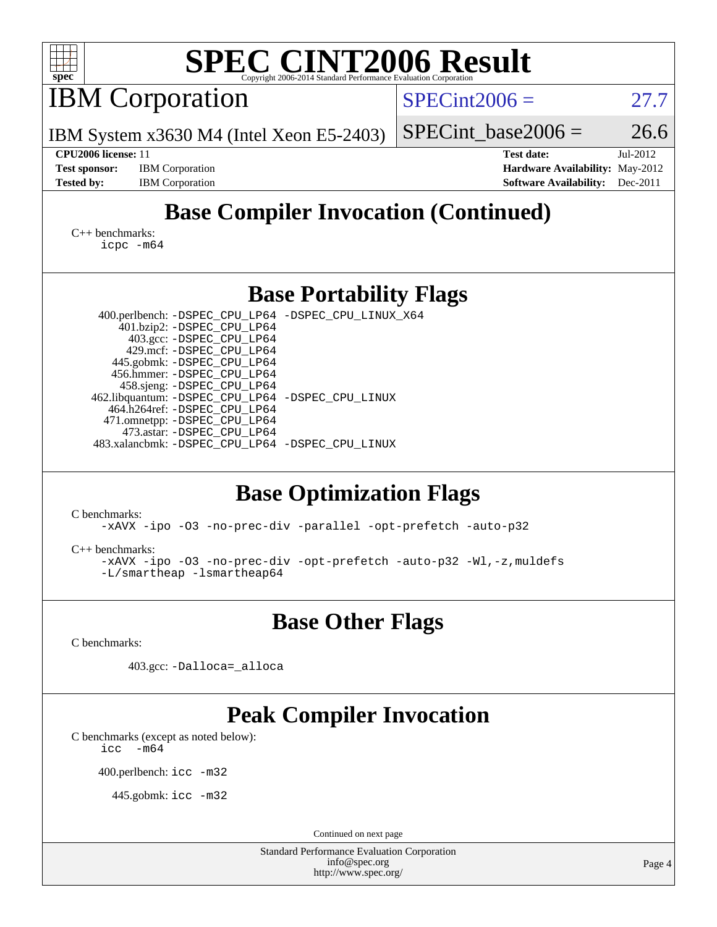| <b>SPEC CINT2006 Result</b><br>Copyright 2006-2014 Standard Performance Evaluation Corporation<br>$spec^*$                                                                                                                                                                                                                                                                                                                                                                    |                                                                                                               |  |  |  |  |  |  |  |  |
|-------------------------------------------------------------------------------------------------------------------------------------------------------------------------------------------------------------------------------------------------------------------------------------------------------------------------------------------------------------------------------------------------------------------------------------------------------------------------------|---------------------------------------------------------------------------------------------------------------|--|--|--|--|--|--|--|--|
| <b>IBM</b> Corporation                                                                                                                                                                                                                                                                                                                                                                                                                                                        | $SPECint2006 =$<br>27.7                                                                                       |  |  |  |  |  |  |  |  |
| IBM System x3630 M4 (Intel Xeon E5-2403)                                                                                                                                                                                                                                                                                                                                                                                                                                      | 26.6<br>$SPECint base2006 =$                                                                                  |  |  |  |  |  |  |  |  |
| CPU2006 license: 11<br><b>Test sponsor:</b><br><b>IBM</b> Corporation<br><b>Tested by:</b><br><b>IBM</b> Corporation                                                                                                                                                                                                                                                                                                                                                          | <b>Test date:</b><br>Jul-2012<br>Hardware Availability: May-2012<br><b>Software Availability:</b><br>Dec-2011 |  |  |  |  |  |  |  |  |
| <b>Base Compiler Invocation (Continued)</b><br>$C_{++}$ benchmarks:<br>$icpc$ $-m64$                                                                                                                                                                                                                                                                                                                                                                                          |                                                                                                               |  |  |  |  |  |  |  |  |
| <b>Base Portability Flags</b>                                                                                                                                                                                                                                                                                                                                                                                                                                                 |                                                                                                               |  |  |  |  |  |  |  |  |
| 400.perlbench: -DSPEC_CPU_LP64 -DSPEC_CPU_LINUX_X64<br>401.bzip2: -DSPEC_CPU_LP64<br>403.gcc: -DSPEC_CPU_LP64<br>429.mcf: -DSPEC_CPU_LP64<br>445.gobmk: -DSPEC_CPU_LP64<br>456.hmmer: - DSPEC_CPU_LP64<br>458.sjeng: -DSPEC_CPU_LP64<br>462.libquantum: - DSPEC_CPU_LP64 - DSPEC_CPU_LINUX<br>464.h264ref: -DSPEC_CPU_LP64<br>471.omnetpp: -DSPEC_CPU_LP64<br>473.astar: -DSPEC_CPU_LP64<br>483.xalancbmk: -DSPEC_CPU_LP64 -DSPEC_CPU_LINUX<br><b>Base Optimization Flags</b> |                                                                                                               |  |  |  |  |  |  |  |  |
| C benchmarks:<br>-xAVX -ipo -03 -no-prec-div -parallel -opt-prefetch -auto-p32                                                                                                                                                                                                                                                                                                                                                                                                |                                                                                                               |  |  |  |  |  |  |  |  |
| $C_{++}$ benchmarks:<br>-xAVX -ipo -03 -no-prec-div -opt-prefetch -auto-p32 -Wl,-z, muldefs<br>-L/smartheap -lsmartheap64                                                                                                                                                                                                                                                                                                                                                     |                                                                                                               |  |  |  |  |  |  |  |  |
| <b>Base Other Flags</b>                                                                                                                                                                                                                                                                                                                                                                                                                                                       |                                                                                                               |  |  |  |  |  |  |  |  |
| C benchmarks:                                                                                                                                                                                                                                                                                                                                                                                                                                                                 |                                                                                                               |  |  |  |  |  |  |  |  |
| 403.gcc: -Dalloca=_alloca                                                                                                                                                                                                                                                                                                                                                                                                                                                     |                                                                                                               |  |  |  |  |  |  |  |  |
| <b>Peak Compiler Invocation</b><br>C benchmarks (except as noted below):<br>icc<br>$-m64$<br>400.perlbench: icc -m32<br>445.gobmk: icc -m32<br>Continued on next page                                                                                                                                                                                                                                                                                                         |                                                                                                               |  |  |  |  |  |  |  |  |
| Standard Performance Evaluation Corporation<br>info@spec.org<br>http://www.spec.org/                                                                                                                                                                                                                                                                                                                                                                                          | Page 4                                                                                                        |  |  |  |  |  |  |  |  |
|                                                                                                                                                                                                                                                                                                                                                                                                                                                                               |                                                                                                               |  |  |  |  |  |  |  |  |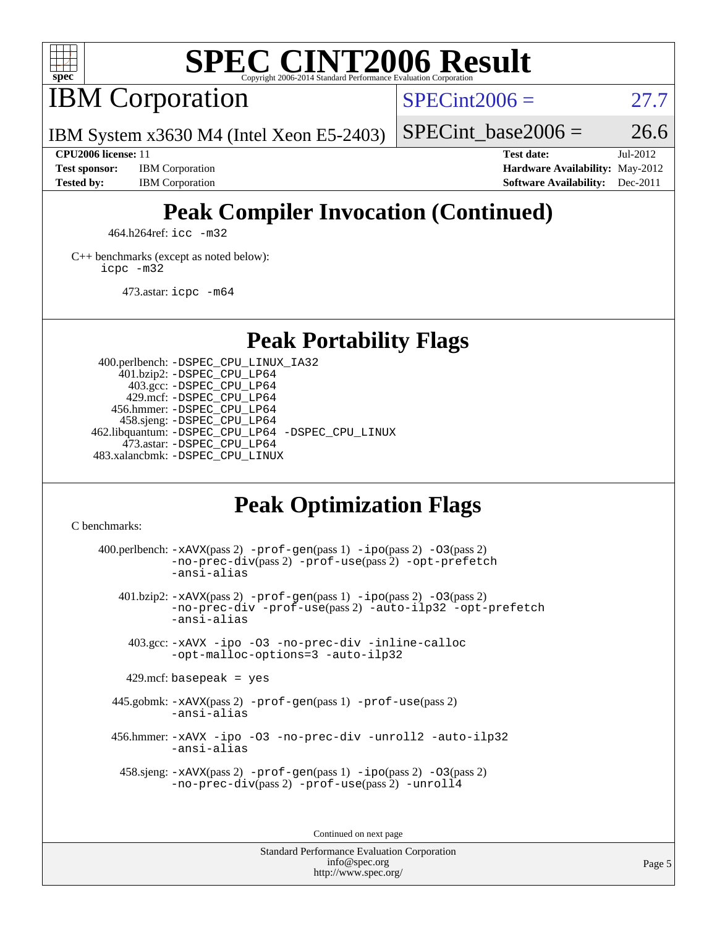

# **[SPEC CINT2006 Result](http://www.spec.org/auto/cpu2006/Docs/result-fields.html#SPECCINT2006Result)**

IBM Corporation

 $SPECint2006 = 27.7$  $SPECint2006 = 27.7$ 

IBM System x3630 M4 (Intel Xeon E5-2403)

**[Test sponsor:](http://www.spec.org/auto/cpu2006/Docs/result-fields.html#Testsponsor)** IBM Corporation **[Hardware Availability:](http://www.spec.org/auto/cpu2006/Docs/result-fields.html#HardwareAvailability)** May-2012

SPECint base2006 =  $26.6$ **[CPU2006 license:](http://www.spec.org/auto/cpu2006/Docs/result-fields.html#CPU2006license)** 11 **[Test date:](http://www.spec.org/auto/cpu2006/Docs/result-fields.html#Testdate)** Jul-2012

**[Tested by:](http://www.spec.org/auto/cpu2006/Docs/result-fields.html#Testedby)** IBM Corporation **[Software Availability:](http://www.spec.org/auto/cpu2006/Docs/result-fields.html#SoftwareAvailability)** Dec-2011

# **[Peak Compiler Invocation \(Continued\)](http://www.spec.org/auto/cpu2006/Docs/result-fields.html#PeakCompilerInvocation)**

464.h264ref: [icc -m32](http://www.spec.org/cpu2006/results/res2012q3/cpu2006-20120725-23851.flags.html#user_peakCCLD464_h264ref_intel_icc_a6a621f8d50482236b970c6ac5f55f93)

[C++ benchmarks \(except as noted below\):](http://www.spec.org/auto/cpu2006/Docs/result-fields.html#CXXbenchmarksexceptasnotedbelow) [icpc -m32](http://www.spec.org/cpu2006/results/res2012q3/cpu2006-20120725-23851.flags.html#user_CXXpeak_intel_icpc_4e5a5ef1a53fd332b3c49e69c3330699)

473.astar: [icpc -m64](http://www.spec.org/cpu2006/results/res2012q3/cpu2006-20120725-23851.flags.html#user_peakCXXLD473_astar_intel_icpc_64bit_fc66a5337ce925472a5c54ad6a0de310)

**[Peak Portability Flags](http://www.spec.org/auto/cpu2006/Docs/result-fields.html#PeakPortabilityFlags)**

 400.perlbench: [-DSPEC\\_CPU\\_LINUX\\_IA32](http://www.spec.org/cpu2006/results/res2012q3/cpu2006-20120725-23851.flags.html#b400.perlbench_peakCPORTABILITY_DSPEC_CPU_LINUX_IA32) 401.bzip2: [-DSPEC\\_CPU\\_LP64](http://www.spec.org/cpu2006/results/res2012q3/cpu2006-20120725-23851.flags.html#suite_peakPORTABILITY401_bzip2_DSPEC_CPU_LP64) 403.gcc: [-DSPEC\\_CPU\\_LP64](http://www.spec.org/cpu2006/results/res2012q3/cpu2006-20120725-23851.flags.html#suite_peakPORTABILITY403_gcc_DSPEC_CPU_LP64) 429.mcf: [-DSPEC\\_CPU\\_LP64](http://www.spec.org/cpu2006/results/res2012q3/cpu2006-20120725-23851.flags.html#suite_peakPORTABILITY429_mcf_DSPEC_CPU_LP64) 456.hmmer: [-DSPEC\\_CPU\\_LP64](http://www.spec.org/cpu2006/results/res2012q3/cpu2006-20120725-23851.flags.html#suite_peakPORTABILITY456_hmmer_DSPEC_CPU_LP64) 458.sjeng: [-DSPEC\\_CPU\\_LP64](http://www.spec.org/cpu2006/results/res2012q3/cpu2006-20120725-23851.flags.html#suite_peakPORTABILITY458_sjeng_DSPEC_CPU_LP64) 462.libquantum: [-DSPEC\\_CPU\\_LP64](http://www.spec.org/cpu2006/results/res2012q3/cpu2006-20120725-23851.flags.html#suite_peakPORTABILITY462_libquantum_DSPEC_CPU_LP64) [-DSPEC\\_CPU\\_LINUX](http://www.spec.org/cpu2006/results/res2012q3/cpu2006-20120725-23851.flags.html#b462.libquantum_peakCPORTABILITY_DSPEC_CPU_LINUX) 473.astar: [-DSPEC\\_CPU\\_LP64](http://www.spec.org/cpu2006/results/res2012q3/cpu2006-20120725-23851.flags.html#suite_peakPORTABILITY473_astar_DSPEC_CPU_LP64) 483.xalancbmk: [-DSPEC\\_CPU\\_LINUX](http://www.spec.org/cpu2006/results/res2012q3/cpu2006-20120725-23851.flags.html#b483.xalancbmk_peakCXXPORTABILITY_DSPEC_CPU_LINUX)

# **[Peak Optimization Flags](http://www.spec.org/auto/cpu2006/Docs/result-fields.html#PeakOptimizationFlags)**

[C benchmarks](http://www.spec.org/auto/cpu2006/Docs/result-fields.html#Cbenchmarks):

400.perlbench:  $-xAUX(pass 2)$  -prof-qen(pass 1) [-ipo](http://www.spec.org/cpu2006/results/res2012q3/cpu2006-20120725-23851.flags.html#user_peakPASS2_CFLAGSPASS2_LDCFLAGS400_perlbench_f-ipo)(pass 2) -03(pass 2) [-no-prec-div](http://www.spec.org/cpu2006/results/res2012q3/cpu2006-20120725-23851.flags.html#user_peakPASS2_CFLAGSPASS2_LDCFLAGS400_perlbench_f-no-prec-div)(pass 2) [-prof-use](http://www.spec.org/cpu2006/results/res2012q3/cpu2006-20120725-23851.flags.html#user_peakPASS2_CFLAGSPASS2_LDCFLAGS400_perlbench_prof_use_bccf7792157ff70d64e32fe3e1250b55)(pass 2) [-opt-prefetch](http://www.spec.org/cpu2006/results/res2012q3/cpu2006-20120725-23851.flags.html#user_peakCOPTIMIZE400_perlbench_f-opt-prefetch) [-ansi-alias](http://www.spec.org/cpu2006/results/res2012q3/cpu2006-20120725-23851.flags.html#user_peakCOPTIMIZE400_perlbench_f-ansi-alias) 401.bzip2: [-xAVX](http://www.spec.org/cpu2006/results/res2012q3/cpu2006-20120725-23851.flags.html#user_peakPASS2_CFLAGSPASS2_LDCFLAGS401_bzip2_f-xAVX)(pass 2) [-prof-gen](http://www.spec.org/cpu2006/results/res2012q3/cpu2006-20120725-23851.flags.html#user_peakPASS1_CFLAGSPASS1_LDCFLAGS401_bzip2_prof_gen_e43856698f6ca7b7e442dfd80e94a8fc)(pass 1) [-ipo](http://www.spec.org/cpu2006/results/res2012q3/cpu2006-20120725-23851.flags.html#user_peakPASS2_CFLAGSPASS2_LDCFLAGS401_bzip2_f-ipo)(pass 2) [-O3](http://www.spec.org/cpu2006/results/res2012q3/cpu2006-20120725-23851.flags.html#user_peakPASS2_CFLAGSPASS2_LDCFLAGS401_bzip2_f-O3)(pass 2) [-no-prec-div](http://www.spec.org/cpu2006/results/res2012q3/cpu2006-20120725-23851.flags.html#user_peakCOPTIMIZEPASS2_CFLAGSPASS2_LDCFLAGS401_bzip2_f-no-prec-div) [-prof-use](http://www.spec.org/cpu2006/results/res2012q3/cpu2006-20120725-23851.flags.html#user_peakPASS2_CFLAGSPASS2_LDCFLAGS401_bzip2_prof_use_bccf7792157ff70d64e32fe3e1250b55)(pass 2) [-auto-ilp32](http://www.spec.org/cpu2006/results/res2012q3/cpu2006-20120725-23851.flags.html#user_peakCOPTIMIZE401_bzip2_f-auto-ilp32) [-opt-prefetch](http://www.spec.org/cpu2006/results/res2012q3/cpu2006-20120725-23851.flags.html#user_peakCOPTIMIZE401_bzip2_f-opt-prefetch) [-ansi-alias](http://www.spec.org/cpu2006/results/res2012q3/cpu2006-20120725-23851.flags.html#user_peakCOPTIMIZE401_bzip2_f-ansi-alias) 403.gcc: [-xAVX](http://www.spec.org/cpu2006/results/res2012q3/cpu2006-20120725-23851.flags.html#user_peakCOPTIMIZE403_gcc_f-xAVX) [-ipo](http://www.spec.org/cpu2006/results/res2012q3/cpu2006-20120725-23851.flags.html#user_peakCOPTIMIZE403_gcc_f-ipo) [-O3](http://www.spec.org/cpu2006/results/res2012q3/cpu2006-20120725-23851.flags.html#user_peakCOPTIMIZE403_gcc_f-O3) [-no-prec-div](http://www.spec.org/cpu2006/results/res2012q3/cpu2006-20120725-23851.flags.html#user_peakCOPTIMIZE403_gcc_f-no-prec-div) [-inline-calloc](http://www.spec.org/cpu2006/results/res2012q3/cpu2006-20120725-23851.flags.html#user_peakCOPTIMIZE403_gcc_f-inline-calloc) [-opt-malloc-options=3](http://www.spec.org/cpu2006/results/res2012q3/cpu2006-20120725-23851.flags.html#user_peakCOPTIMIZE403_gcc_f-opt-malloc-options_13ab9b803cf986b4ee62f0a5998c2238) [-auto-ilp32](http://www.spec.org/cpu2006/results/res2012q3/cpu2006-20120725-23851.flags.html#user_peakCOPTIMIZE403_gcc_f-auto-ilp32)  $429$ .mcf: basepeak = yes 445.gobmk: [-xAVX](http://www.spec.org/cpu2006/results/res2012q3/cpu2006-20120725-23851.flags.html#user_peakPASS2_CFLAGSPASS2_LDCFLAGS445_gobmk_f-xAVX)(pass 2) [-prof-gen](http://www.spec.org/cpu2006/results/res2012q3/cpu2006-20120725-23851.flags.html#user_peakPASS1_CFLAGSPASS1_LDCFLAGS445_gobmk_prof_gen_e43856698f6ca7b7e442dfd80e94a8fc)(pass 1) [-prof-use](http://www.spec.org/cpu2006/results/res2012q3/cpu2006-20120725-23851.flags.html#user_peakPASS2_CFLAGSPASS2_LDCFLAGS445_gobmk_prof_use_bccf7792157ff70d64e32fe3e1250b55)(pass 2) [-ansi-alias](http://www.spec.org/cpu2006/results/res2012q3/cpu2006-20120725-23851.flags.html#user_peakCOPTIMIZE445_gobmk_f-ansi-alias) 456.hmmer: [-xAVX](http://www.spec.org/cpu2006/results/res2012q3/cpu2006-20120725-23851.flags.html#user_peakCOPTIMIZE456_hmmer_f-xAVX) [-ipo](http://www.spec.org/cpu2006/results/res2012q3/cpu2006-20120725-23851.flags.html#user_peakCOPTIMIZE456_hmmer_f-ipo) [-O3](http://www.spec.org/cpu2006/results/res2012q3/cpu2006-20120725-23851.flags.html#user_peakCOPTIMIZE456_hmmer_f-O3) [-no-prec-div](http://www.spec.org/cpu2006/results/res2012q3/cpu2006-20120725-23851.flags.html#user_peakCOPTIMIZE456_hmmer_f-no-prec-div) [-unroll2](http://www.spec.org/cpu2006/results/res2012q3/cpu2006-20120725-23851.flags.html#user_peakCOPTIMIZE456_hmmer_f-unroll_784dae83bebfb236979b41d2422d7ec2) [-auto-ilp32](http://www.spec.org/cpu2006/results/res2012q3/cpu2006-20120725-23851.flags.html#user_peakCOPTIMIZE456_hmmer_f-auto-ilp32) [-ansi-alias](http://www.spec.org/cpu2006/results/res2012q3/cpu2006-20120725-23851.flags.html#user_peakCOPTIMIZE456_hmmer_f-ansi-alias) 458.sjeng: [-xAVX](http://www.spec.org/cpu2006/results/res2012q3/cpu2006-20120725-23851.flags.html#user_peakPASS2_CFLAGSPASS2_LDCFLAGS458_sjeng_f-xAVX)(pass 2) [-prof-gen](http://www.spec.org/cpu2006/results/res2012q3/cpu2006-20120725-23851.flags.html#user_peakPASS1_CFLAGSPASS1_LDCFLAGS458_sjeng_prof_gen_e43856698f6ca7b7e442dfd80e94a8fc)(pass 1) [-ipo](http://www.spec.org/cpu2006/results/res2012q3/cpu2006-20120725-23851.flags.html#user_peakPASS2_CFLAGSPASS2_LDCFLAGS458_sjeng_f-ipo)(pass 2) [-O3](http://www.spec.org/cpu2006/results/res2012q3/cpu2006-20120725-23851.flags.html#user_peakPASS2_CFLAGSPASS2_LDCFLAGS458_sjeng_f-O3)(pass 2) [-no-prec-div](http://www.spec.org/cpu2006/results/res2012q3/cpu2006-20120725-23851.flags.html#user_peakPASS2_CFLAGSPASS2_LDCFLAGS458_sjeng_f-no-prec-div)(pass 2) [-prof-use](http://www.spec.org/cpu2006/results/res2012q3/cpu2006-20120725-23851.flags.html#user_peakPASS2_CFLAGSPASS2_LDCFLAGS458_sjeng_prof_use_bccf7792157ff70d64e32fe3e1250b55)(pass 2) [-unroll4](http://www.spec.org/cpu2006/results/res2012q3/cpu2006-20120725-23851.flags.html#user_peakCOPTIMIZE458_sjeng_f-unroll_4e5e4ed65b7fd20bdcd365bec371b81f)

Continued on next page

Standard Performance Evaluation Corporation [info@spec.org](mailto:info@spec.org) <http://www.spec.org/>